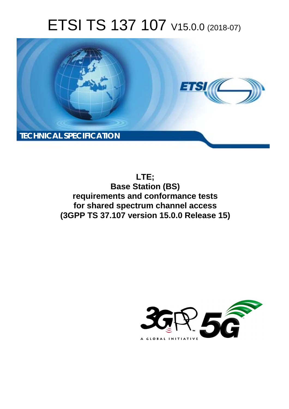# ETSI TS 137 107 V15.0.0 (2018-07)



**LTE; Base Station (BS) requirements and conformance tests for shared spectrum channel access (3GPP TS 37.107 version 15.0.0 Release 15)** 

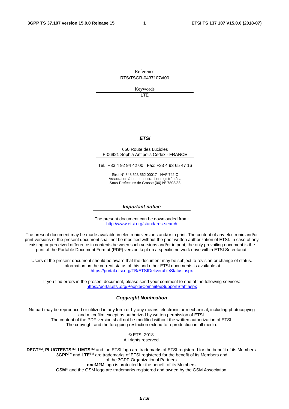Reference

RTS/TSGR-0437107vf00

Keywords

LTE

#### *ETSI*

#### 650 Route des Lucioles F-06921 Sophia Antipolis Cedex - FRANCE

Tel.: +33 4 92 94 42 00 Fax: +33 4 93 65 47 16

Siret N° 348 623 562 00017 - NAF 742 C Association à but non lucratif enregistrée à la Sous-Préfecture de Grasse (06) N° 7803/88

#### *Important notice*

The present document can be downloaded from: <http://www.etsi.org/standards-search>

The present document may be made available in electronic versions and/or in print. The content of any electronic and/or print versions of the present document shall not be modified without the prior written authorization of ETSI. In case of any existing or perceived difference in contents between such versions and/or in print, the only prevailing document is the print of the Portable Document Format (PDF) version kept on a specific network drive within ETSI Secretariat.

Users of the present document should be aware that the document may be subject to revision or change of status. Information on the current status of this and other ETSI documents is available at <https://portal.etsi.org/TB/ETSIDeliverableStatus.aspx>

If you find errors in the present document, please send your comment to one of the following services: <https://portal.etsi.org/People/CommiteeSupportStaff.aspx>

#### *Copyright Notification*

No part may be reproduced or utilized in any form or by any means, electronic or mechanical, including photocopying and microfilm except as authorized by written permission of ETSI. The content of the PDF version shall not be modified without the written authorization of ETSI. The copyright and the foregoing restriction extend to reproduction in all media.

> © ETSI 2018. All rights reserved.

**DECT**TM, **PLUGTESTS**TM, **UMTS**TM and the ETSI logo are trademarks of ETSI registered for the benefit of its Members. **3GPP**TM and **LTE**TM are trademarks of ETSI registered for the benefit of its Members and of the 3GPP Organizational Partners. **oneM2M** logo is protected for the benefit of its Members.

**GSM**® and the GSM logo are trademarks registered and owned by the GSM Association.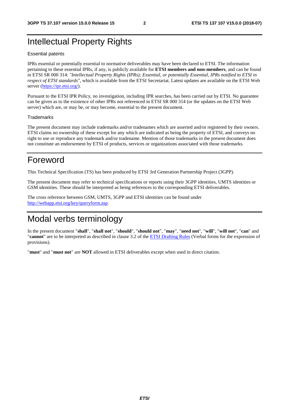### Intellectual Property Rights

#### Essential patents

IPRs essential or potentially essential to normative deliverables may have been declared to ETSI. The information pertaining to these essential IPRs, if any, is publicly available for **ETSI members and non-members**, and can be found in ETSI SR 000 314: *"Intellectual Property Rights (IPRs); Essential, or potentially Essential, IPRs notified to ETSI in respect of ETSI standards"*, which is available from the ETSI Secretariat. Latest updates are available on the ETSI Web server ([https://ipr.etsi.org/\)](https://ipr.etsi.org/).

Pursuant to the ETSI IPR Policy, no investigation, including IPR searches, has been carried out by ETSI. No guarantee can be given as to the existence of other IPRs not referenced in ETSI SR 000 314 (or the updates on the ETSI Web server) which are, or may be, or may become, essential to the present document.

#### **Trademarks**

The present document may include trademarks and/or tradenames which are asserted and/or registered by their owners. ETSI claims no ownership of these except for any which are indicated as being the property of ETSI, and conveys no right to use or reproduce any trademark and/or tradename. Mention of those trademarks in the present document does not constitute an endorsement by ETSI of products, services or organizations associated with those trademarks.

### Foreword

This Technical Specification (TS) has been produced by ETSI 3rd Generation Partnership Project (3GPP).

The present document may refer to technical specifications or reports using their 3GPP identities, UMTS identities or GSM identities. These should be interpreted as being references to the corresponding ETSI deliverables.

The cross reference between GSM, UMTS, 3GPP and ETSI identities can be found under [http://webapp.etsi.org/key/queryform.asp.](http://webapp.etsi.org/key/queryform.asp)

### Modal verbs terminology

In the present document "**shall**", "**shall not**", "**should**", "**should not**", "**may**", "**need not**", "**will**", "**will not**", "**can**" and "**cannot**" are to be interpreted as described in clause 3.2 of the [ETSI Drafting Rules](https://portal.etsi.org/Services/editHelp!/Howtostart/ETSIDraftingRules.aspx) (Verbal forms for the expression of provisions).

"**must**" and "**must not**" are **NOT** allowed in ETSI deliverables except when used in direct citation.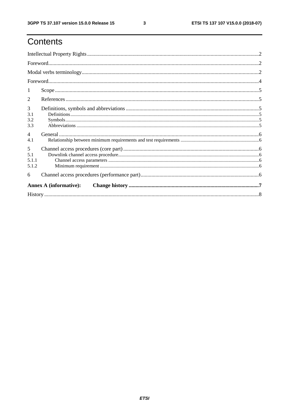# Contents

| 1                             |  |  |  |  |  |  |
|-------------------------------|--|--|--|--|--|--|
| 2                             |  |  |  |  |  |  |
| 3                             |  |  |  |  |  |  |
| 3.1                           |  |  |  |  |  |  |
| 3.2                           |  |  |  |  |  |  |
| 3.3                           |  |  |  |  |  |  |
| $\overline{4}$                |  |  |  |  |  |  |
| 4.1                           |  |  |  |  |  |  |
| 5                             |  |  |  |  |  |  |
| 5.1                           |  |  |  |  |  |  |
| 5.1.1                         |  |  |  |  |  |  |
| 5.1.2                         |  |  |  |  |  |  |
| 6                             |  |  |  |  |  |  |
| <b>Annex A (informative):</b> |  |  |  |  |  |  |
|                               |  |  |  |  |  |  |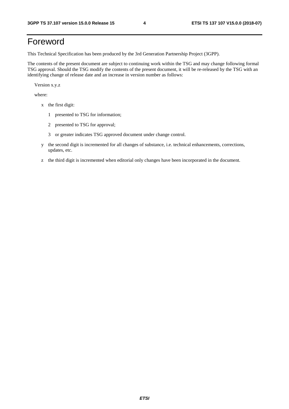# Foreword

This Technical Specification has been produced by the 3rd Generation Partnership Project (3GPP).

The contents of the present document are subject to continuing work within the TSG and may change following formal TSG approval. Should the TSG modify the contents of the present document, it will be re-released by the TSG with an identifying change of release date and an increase in version number as follows:

Version x.y.z

where:

- x the first digit:
	- 1 presented to TSG for information;
	- 2 presented to TSG for approval;
	- 3 or greater indicates TSG approved document under change control.
- y the second digit is incremented for all changes of substance, i.e. technical enhancements, corrections, updates, etc.
- z the third digit is incremented when editorial only changes have been incorporated in the document.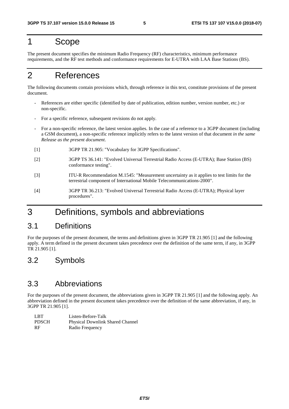### 1 Scope

The present document specifies the minimum Radio Frequency (RF) characteristics, minimum performance requirements, and the RF test methods and conformance requirements for E-UTRA with LAA Base Stations (BS).

# 2 References

The following documents contain provisions which, through reference in this text, constitute provisions of the present document.

- References are either specific (identified by date of publication, edition number, version number, etc.) or non-specific.
- For a specific reference, subsequent revisions do not apply.
- For a non-specific reference, the latest version applies. In the case of a reference to a 3GPP document (including a GSM document), a non-specific reference implicitly refers to the latest version of that document *in the same Release as the present document*.
- [1] 3GPP TR 21.905: "Vocabulary for 3GPP Specifications".
- [2] 3GPP TS 36.141: "Evolved Universal Terrestrial Radio Access (E-UTRA); Base Station (BS) conformance testing".
- [3] ITU-R Recommendation M.1545: "Measurement uncertainty as it applies to test limits for the terrestrial component of International Mobile Telecommunications-2000".
- [4] 3GPP TR 36.213: "Evolved Universal Terrestrial Radio Access (E-UTRA); Physical layer procedures".

### 3 Definitions, symbols and abbreviations

#### 3.1 Definitions

For the purposes of the present document, the terms and definitions given in 3GPP TR 21.905 [1] and the following apply. A term defined in the present document takes precedence over the definition of the same term, if any, in 3GPP TR 21.905 [1].

#### 3.2 Symbols

#### 3.3 Abbreviations

For the purposes of the present document, the abbreviations given in 3GPP TR 21.905 [1] and the following apply. An abbreviation defined in the present document takes precedence over the definition of the same abbreviation, if any, in 3GPP TR 21.905 [1].

| LBT.         | Listen-Before-Talk                      |
|--------------|-----------------------------------------|
| <b>PDSCH</b> | <b>Physical Downlink Shared Channel</b> |
| -RF          | Radio Frequency                         |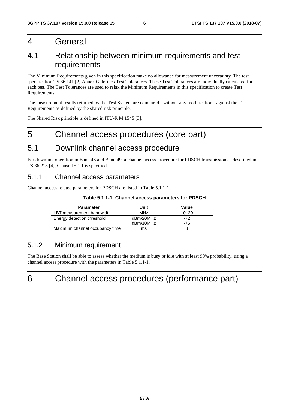### 4 General

### 4.1 Relationship between minimum requirements and test requirements

The Minimum Requirements given in this specification make no allowance for measurement uncertainty. The test specification TS 36.141 [2] Annex G defines Test Tolerances. These Test Tolerances are individually calculated for each test. The Test Tolerances are used to relax the Minimum Requirements in this specification to create Test Requirements.

The measurement results returned by the Test System are compared - without any modification - against the Test Requirements as defined by the shared risk principle.

The Shared Risk principle is defined in ITU-R M.1545 [3].

# 5 Channel access procedures (core part)

#### 5.1 Downlink channel access procedure

For downlink operation in Band 46 and Band 49, a channel access procedure for PDSCH transmission as described in TS 36.213 [4], Clause 15.1.1 is specified.

#### 5.1.1 Channel access parameters

Channel access related parameters for PDSCH are listed in Table 5.1.1-1.

#### **Table 5.1.1-1: Channel access parameters for PDSCH**

| <b>Parameter</b>               | Unit            | Value |
|--------------------------------|-----------------|-------|
| LBT measurement bandwidth      | MH <sub>7</sub> | 10.20 |
| Energy detection threshold     | dBm/20MHz       | -72   |
|                                | dBm/10MHz       | -75   |
| Maximum channel occupancy time | ms              |       |

#### 5.1.2 Minimum requirement

The Base Station shall be able to assess whether the medium is busy or idle with at least 90% probability, using a channel access procedure with the parameters in Table 5.1.1-1.



# 6 Channel access procedures (performance part)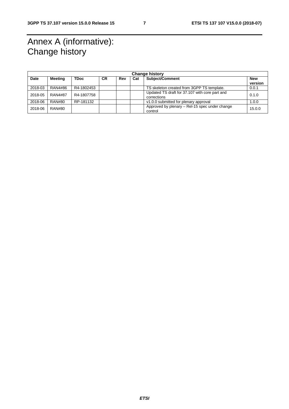# Annex A (informative): Change history

| <b>Change history</b> |                |             |           |     |     |                                                               |                |
|-----------------------|----------------|-------------|-----------|-----|-----|---------------------------------------------------------------|----------------|
| Date                  | <b>Meeting</b> | <b>TDoc</b> | <b>CR</b> | Rev | Cat | Subject/Comment                                               | New<br>version |
| 2018-03               | RAN4#86        | R4-1802453  |           |     |     | TS skeleton created from 3GPP TS template.                    | 0.0.1          |
| 2018-05               | <b>RAN4#87</b> | R4-1807758  |           |     |     | Updated TS draft for 37.107 with core part and<br>corrections | 0.1.0          |
| 2018-06               | <b>RAN#80</b>  | RP-181132   |           |     |     | v1.0.0 submitted for plenary approval                         | 1.0.0          |
| 2018-06               | RAN#80         |             |           |     |     | Approved by plenary – Rel-15 spec under change<br>control     | 15.0.0         |